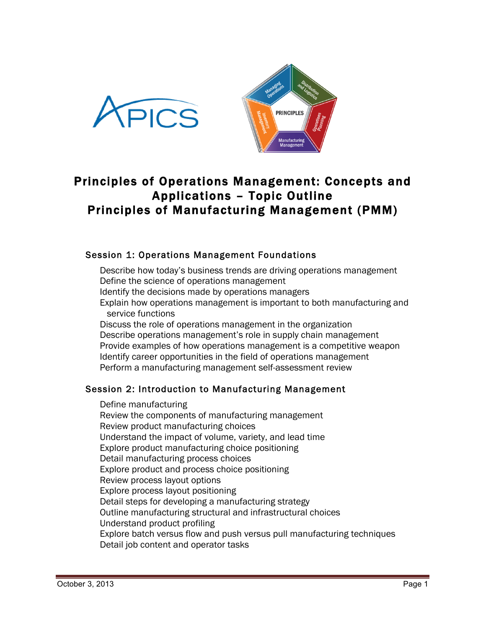



# Principles of Operations Management: Concepts and Applications – Topic Outline Principles of Manufacturing Management (PMM)

# Session 1: Operations Management Foundations

Describe how today's business trends are driving operations management Define the science of operations management Identify the decisions made by operations managers Explain how operations management is important to both manufacturing and service functions Discuss the role of operations management in the organization

Describe operations management's role in supply chain management Provide examples of how operations management is a competitive weapon Identify career opportunities in the field of operations management Perform a manufacturing management self-assessment review

# Session 2: Introduction to Manufacturing Management

Define manufacturing Review the components of manufacturing management Review product manufacturing choices Understand the impact of volume, variety, and lead time Explore product manufacturing choice positioning Detail manufacturing process choices Explore product and process choice positioning Review process layout options Explore process layout positioning Detail steps for developing a manufacturing strategy Outline manufacturing structural and infrastructural choices Understand product profiling Explore batch versus flow and push versus pull manufacturing techniques Detail job content and operator tasks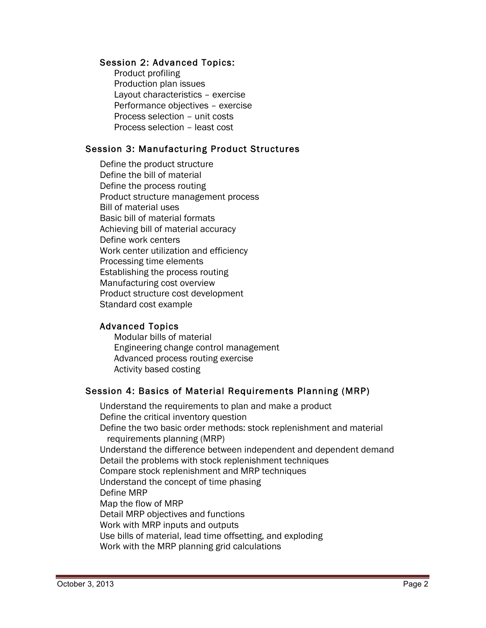#### Session 2: Advanced Topics:

Product profiling Production plan issues Layout characteristics – exercise Performance objectives – exercise Process selection – unit costs Process selection – least cost

#### Session 3: Manufacturing Product Structures

Define the product structure Define the bill of material Define the process routing Product structure management process Bill of material uses Basic bill of material formats Achieving bill of material accuracy Define work centers Work center utilization and efficiency Processing time elements Establishing the process routing Manufacturing cost overview Product structure cost development Standard cost example

#### Advanced Topics

Modular bills of material Engineering change control management Advanced process routing exercise Activity based costing

#### Session 4: Basics of Material Requirements Planning (MRP)

Understand the requirements to plan and make a product Define the critical inventory question Define the two basic order methods: stock replenishment and material requirements planning (MRP) Understand the difference between independent and dependent demand Detail the problems with stock replenishment techniques Compare stock replenishment and MRP techniques Understand the concept of time phasing Define MRP Map the flow of MRP Detail MRP objectives and functions Work with MRP inputs and outputs Use bills of material, lead time offsetting, and exploding Work with the MRP planning grid calculations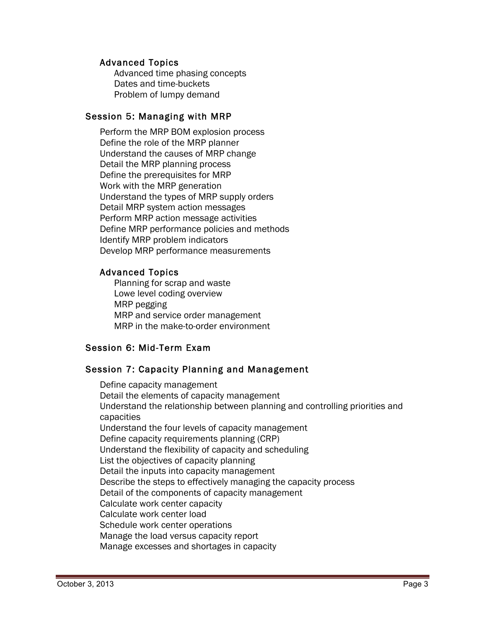#### Advanced Topics

Advanced time phasing concepts Dates and time-buckets Problem of lumpy demand

#### Session 5: Managing with MRP

Perform the MRP BOM explosion process Define the role of the MRP planner Understand the causes of MRP change Detail the MRP planning process Define the prerequisites for MRP Work with the MRP generation Understand the types of MRP supply orders Detail MRP system action messages Perform MRP action message activities Define MRP performance policies and methods Identify MRP problem indicators Develop MRP performance measurements

# Advanced Topics

Planning for scrap and waste Lowe level coding overview MRP pegging MRP and service order management MRP in the make-to-order environment

# Session 6: Mid-Term Exam

# Session 7: Capacity Planning and Management

Define capacity management Detail the elements of capacity management Understand the relationship between planning and controlling priorities and capacities Understand the four levels of capacity management Define capacity requirements planning (CRP) Understand the flexibility of capacity and scheduling List the objectives of capacity planning Detail the inputs into capacity management Describe the steps to effectively managing the capacity process Detail of the components of capacity management Calculate work center capacity Calculate work center load Schedule work center operations Manage the load versus capacity report Manage excesses and shortages in capacity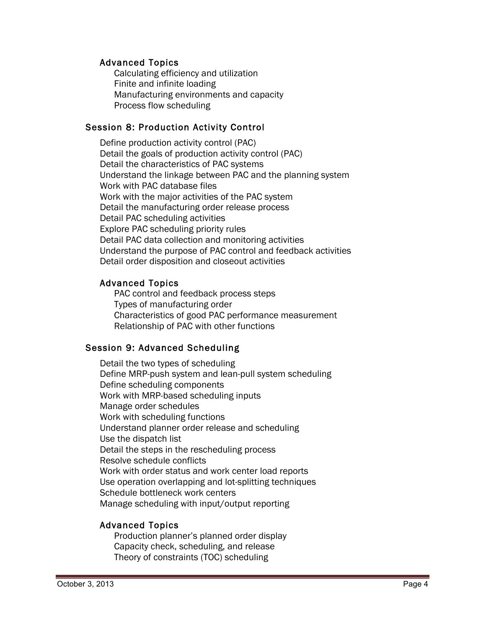#### Advanced Topics

Calculating efficiency and utilization Finite and infinite loading Manufacturing environments and capacity Process flow scheduling

# Session 8: Production Activity Control

Define production activity control (PAC) Detail the goals of production activity control (PAC) Detail the characteristics of PAC systems Understand the linkage between PAC and the planning system Work with PAC database files Work with the major activities of the PAC system Detail the manufacturing order release process Detail PAC scheduling activities Explore PAC scheduling priority rules Detail PAC data collection and monitoring activities Understand the purpose of PAC control and feedback activities Detail order disposition and closeout activities

# Advanced Topics

PAC control and feedback process steps Types of manufacturing order Characteristics of good PAC performance measurement Relationship of PAC with other functions

# Session 9: Advanced Scheduling

Detail the two types of scheduling Define MRP-push system and lean-pull system scheduling Define scheduling components Work with MRP-based scheduling inputs Manage order schedules Work with scheduling functions Understand planner order release and scheduling Use the dispatch list Detail the steps in the rescheduling process Resolve schedule conflicts Work with order status and work center load reports Use operation overlapping and lot-splitting techniques Schedule bottleneck work centers Manage scheduling with input/output reporting

# Advanced Topics

Production planner's planned order display Capacity check, scheduling, and release Theory of constraints (TOC) scheduling